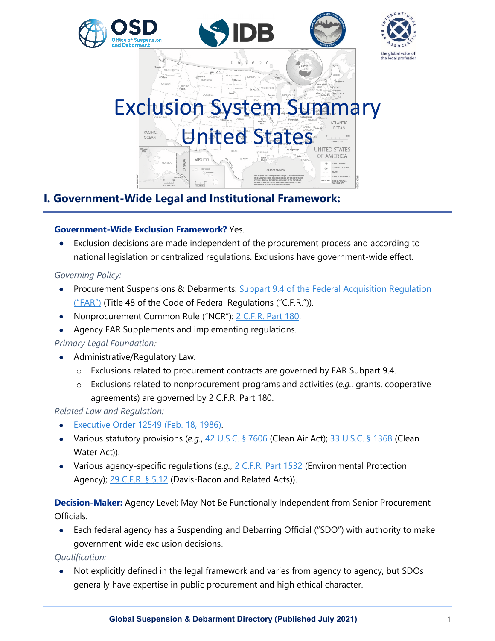



# Exclusion System Summary United States PACIFIC<br>OCEAN OF AMERICA MEXICO

# **I. Government-Wide Legal and Institutional Framework:**

# **Government-Wide Exclusion Framework?** Yes.

• Exclusion decisions are made independent of the procurement process and according to national legislation or centralized regulations. Exclusions have government-wide effect.

# *Governing Policy:*

- Procurement Suspensions & Debarments: [Subpart 9.4 of the Federal Acquisition Regulation](https://www.acquisition.gov/far/part-9)  [\("FAR"\)](https://www.acquisition.gov/far/part-9) (Title 48 of the Code of Federal Regulations ("C.F.R.")).
- Nonprocurement Common Rule ("NCR"): [2 C.F.R. Part 180.](https://www.law.cornell.edu/cfr/text/2/part-180)
- Agency FAR Supplements and implementing regulations.

# *Primary Legal Foundation:*

- Administrative/Regulatory Law.
	- o Exclusions related to procurement contracts are governed by FAR Subpart 9.4.
	- o Exclusions related to nonprocurement programs and activities (*e.g.*, grants, cooperative agreements) are governed by 2 C.F.R. Part 180.

# *Related Law and Regulation:*

- [Executive Order 12549 \(Feb. 18, 1986\).](https://www.archives.gov/federal-register/codification/executive-order/12549.html)
- Various statutory provisions (*e.g.*, [42 U.S.C. § 7606](https://www.law.cornell.edu/uscode/text/42/7606) (Clean Air Act); [33 U.S.C. §](https://www.law.cornell.edu/uscode/text/33/1368) 1368 (Clean Water Act)).
- Various agency-specific regulations (*e.g.*, [2 C.F.R. Part 1532](https://www.law.cornell.edu/cfr/text/2/part-1532) (Environmental Protection Agency); [29 C.F.R. §](https://www.law.cornell.edu/cfr/text/29/5.12) 5.12 (Davis-Bacon and Related Acts)).

**Decision-Maker:** Agency Level; May Not Be Functionally Independent from Senior Procurement Officials.

• Each federal agency has a Suspending and Debarring Official ("SDO") with authority to make government-wide exclusion decisions.

*Qualification:*

• Not explicitly defined in the legal framework and varies from agency to agency, but SDOs generally have expertise in public procurement and high ethical character.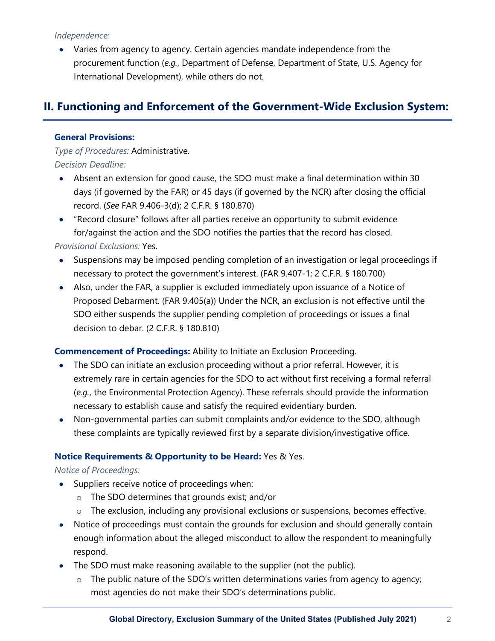#### *Independence:*

• Varies from agency to agency. Certain agencies mandate independence from the procurement function (*e.g.*, Department of Defense, Department of State, U.S. Agency for International Development), while others do not.

# **II. Functioning and Enforcement of the Government-Wide Exclusion System:**

#### **General Provisions:**

*Type of Procedures:* Administrative. *Decision Deadline:*

- Absent an extension for good cause, the SDO must make a final determination within 30 days (if governed by the FAR) or 45 days (if governed by the NCR) after closing the official record. (*See* FAR 9.406-3(d); 2 C.F.R. § 180.870)
- "Record closure" follows after all parties receive an opportunity to submit evidence for/against the action and the SDO notifies the parties that the record has closed.

#### *Provisional Exclusions:* Yes.

- Suspensions may be imposed pending completion of an investigation or legal proceedings if necessary to protect the government's interest. (FAR 9.407-1; 2 C.F.R. § 180.700)
- Also, under the FAR, a supplier is excluded immediately upon issuance of a Notice of Proposed Debarment. (FAR 9.405(a)) Under the NCR, an exclusion is not effective until the SDO either suspends the supplier pending completion of proceedings or issues a final decision to debar. (2 C.F.R. § 180.810)

## **Commencement of Proceedings:** Ability to Initiate an Exclusion Proceeding.

- The SDO can initiate an exclusion proceeding without a prior referral. However, it is extremely rare in certain agencies for the SDO to act without first receiving a formal referral (*e.g.*, the Environmental Protection Agency). These referrals should provide the information necessary to establish cause and satisfy the required evidentiary burden.
- Non-governmental parties can submit complaints and/or evidence to the SDO, although these complaints are typically reviewed first by a separate division/investigative office.

## **Notice Requirements & Opportunity to be Heard:** Yes & Yes.

#### *Notice of Proceedings:*

- Suppliers receive notice of proceedings when:
	- o The SDO determines that grounds exist; and/or
	- o The exclusion, including any provisional exclusions or suspensions, becomes effective.
- Notice of proceedings must contain the grounds for exclusion and should generally contain enough information about the alleged misconduct to allow the respondent to meaningfully respond.
- The SDO must make reasoning available to the supplier (not the public).
	- o The public nature of the SDO's written determinations varies from agency to agency; most agencies do not make their SDO's determinations public.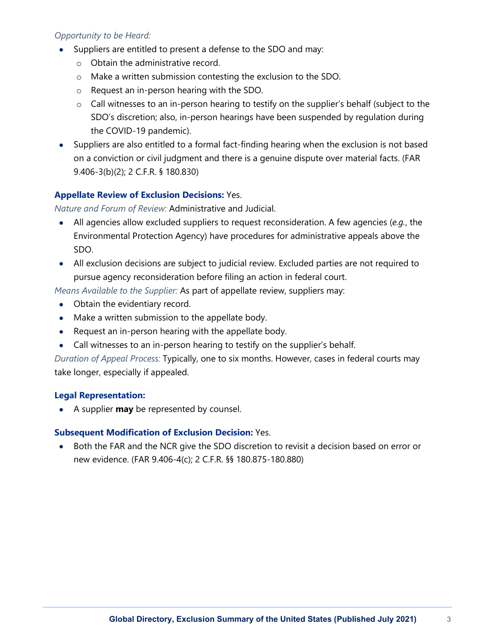## *Opportunity to be Heard:*

- Suppliers are entitled to present a defense to the SDO and may:
	- o Obtain the administrative record.
	- o Make a written submission contesting the exclusion to the SDO.
	- o Request an in-person hearing with the SDO.
	- $\circ$  Call witnesses to an in-person hearing to testify on the supplier's behalf (subject to the SDO's discretion; also, in-person hearings have been suspended by regulation during the COVID-19 pandemic).
- Suppliers are also entitled to a formal fact-finding hearing when the exclusion is not based on a conviction or civil judgment and there is a genuine dispute over material facts. (FAR 9.406-3(b)(2); 2 C.F.R. § 180.830)

## **Appellate Review of Exclusion Decisions:** Yes.

*Nature and Forum of Review:* Administrative and Judicial.

- All agencies allow excluded suppliers to request reconsideration. A few agencies (*e.g.*, the Environmental Protection Agency) have procedures for administrative appeals above the SDO.
- All exclusion decisions are subject to judicial review. Excluded parties are not required to pursue agency reconsideration before filing an action in federal court.

*Means Available to the Supplier:* As part of appellate review, suppliers may:

- Obtain the evidentiary record.
- Make a written submission to the appellate body.
- Request an in-person hearing with the appellate body.
- Call witnesses to an in-person hearing to testify on the supplier's behalf.

*Duration of Appeal Process:* Typically, one to six months. However, cases in federal courts may take longer, especially if appealed.

#### **Legal Representation:**

• A supplier **may** be represented by counsel.

#### **Subsequent Modification of Exclusion Decision:** Yes.

• Both the FAR and the NCR give the SDO discretion to revisit a decision based on error or new evidence. (FAR 9.406-4(c); 2 C.F.R. §§ 180.875-180.880)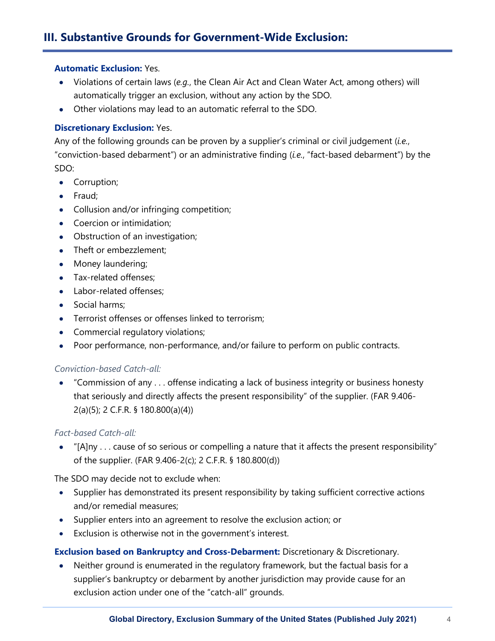# **III. Substantive Grounds for Government-Wide Exclusion:**

#### **Automatic Exclusion:** Yes.

- Violations of certain laws (*e.g.*, the Clean Air Act and Clean Water Act, among others) will automatically trigger an exclusion, without any action by the SDO.
- Other violations may lead to an automatic referral to the SDO.

#### **Discretionary Exclusion:** Yes.

Any of the following grounds can be proven by a supplier's criminal or civil judgement (*i.e.*, "conviction-based debarment") or an administrative finding (*i.e.*, "fact-based debarment") by the SDO:

- Corruption;
- Fraud;
- Collusion and/or infringing competition;
- Coercion or intimidation;
- Obstruction of an investigation;
- Theft or embezzlement;
- Money laundering;
- Tax-related offenses:
- Labor-related offenses;
- Social harms;
- Terrorist offenses or offenses linked to terrorism;
- Commercial regulatory violations;
- Poor performance, non-performance, and/or failure to perform on public contracts.

#### *Conviction-based Catch-all:*

• "Commission of any . . . offense indicating a lack of business integrity or business honesty that seriously and directly affects the present responsibility" of the supplier. (FAR 9.406- 2(a)(5); 2 C.F.R. § 180.800(a)(4))

#### *Fact-based Catch-all:*

• "[A]ny . . . cause of so serious or compelling a nature that it affects the present responsibility" of the supplier. (FAR 9.406-2(c); 2 C.F.R. § 180.800(d))

The SDO may decide not to exclude when:

- Supplier has demonstrated its present responsibility by taking sufficient corrective actions and/or remedial measures;
- Supplier enters into an agreement to resolve the exclusion action; or
- Exclusion is otherwise not in the government's interest.

**Exclusion based on Bankruptcy and Cross-Debarment:** Discretionary & Discretionary.

• Neither ground is enumerated in the regulatory framework, but the factual basis for a supplier's bankruptcy or debarment by another jurisdiction may provide cause for an exclusion action under one of the "catch-all" grounds.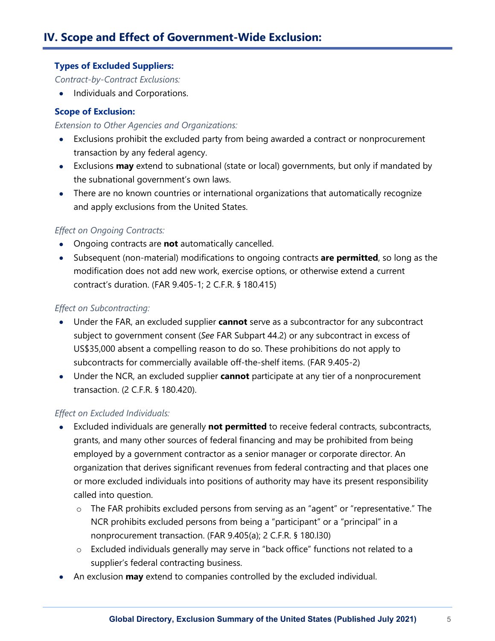## **Types of Excluded Suppliers:**

*Contract-by-Contract Exclusions:*

• Individuals and Corporations.

## **Scope of Exclusion:**

#### *Extension to Other Agencies and Organizations:*

- Exclusions prohibit the excluded party from being awarded a contract or nonprocurement transaction by any federal agency.
- Exclusions **may** extend to subnational (state or local) governments, but only if mandated by the subnational government's own laws.
- There are no known countries or international organizations that automatically recognize and apply exclusions from the United States.

# *Effect on Ongoing Contracts:*

- Ongoing contracts are **not** automatically cancelled.
- Subsequent (non-material) modifications to ongoing contracts **are permitted**, so long as the modification does not add new work, exercise options, or otherwise extend a current contract's duration. (FAR 9.405-1; 2 C.F.R. § 180.415)

## *Effect on Subcontracting:*

- Under the FAR, an excluded supplier **cannot** serve as a subcontractor for any subcontract subject to government consent (*See* FAR Subpart 44.2) or any subcontract in excess of US\$35,000 absent a compelling reason to do so. These prohibitions do not apply to subcontracts for commercially available off-the-shelf items. (FAR 9.405-2)
- Under the NCR, an excluded supplier **cannot** participate at any tier of a nonprocurement transaction. (2 C.F.R. § 180.420).

## *Effect on Excluded Individuals:*

- Excluded individuals are generally **not permitted** to receive federal contracts, subcontracts, grants, and many other sources of federal financing and may be prohibited from being employed by a government contractor as a senior manager or corporate director. An organization that derives significant revenues from federal contracting and that places one or more excluded individuals into positions of authority may have its present responsibility called into question.
	- o The FAR prohibits excluded persons from serving as an "agent" or "representative." The NCR prohibits excluded persons from being a "participant" or a "principal" in a nonprocurement transaction. (FAR 9.405(a); 2 C.F.R. § 180.l30)
	- o Excluded individuals generally may serve in "back office" functions not related to a supplier's federal contracting business.
- An exclusion **may** extend to companies controlled by the excluded individual.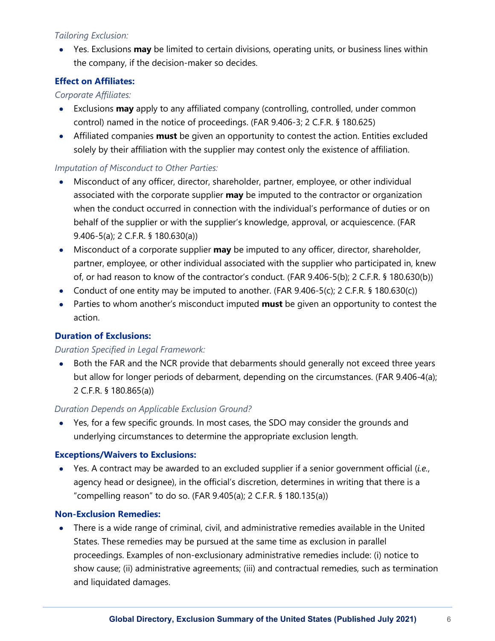## *Tailoring Exclusion:*

• Yes. Exclusions **may** be limited to certain divisions, operating units, or business lines within the company, if the decision-maker so decides.

## **Effect on Affiliates:**

## *Corporate Affiliates:*

- Exclusions **may** apply to any affiliated company (controlling, controlled, under common control) named in the notice of proceedings. (FAR 9.406-3; 2 C.F.R. § 180.625)
- Affiliated companies **must** be given an opportunity to contest the action. Entities excluded solely by their affiliation with the supplier may contest only the existence of affiliation.

## *Imputation of Misconduct to Other Parties:*

- Misconduct of any officer, director, shareholder, partner, employee, or other individual associated with the corporate supplier **may** be imputed to the contractor or organization when the conduct occurred in connection with the individual's performance of duties or on behalf of the supplier or with the supplier's knowledge, approval, or acquiescence. (FAR 9.406-5(a); 2 C.F.R. § 180.630(a))
- Misconduct of a corporate supplier **may** be imputed to any officer, director, shareholder, partner, employee, or other individual associated with the supplier who participated in, knew of, or had reason to know of the contractor's conduct. (FAR 9.406-5(b); 2 C.F.R. § 180.630(b))
- Conduct of one entity may be imputed to another. (FAR  $9.406-5(c)$ ; 2 C.F.R. § 180.630(c))
- Parties to whom another's misconduct imputed **must** be given an opportunity to contest the action.

## **Duration of Exclusions:**

## *Duration Specified in Legal Framework:*

• Both the FAR and the NCR provide that debarments should generally not exceed three years but allow for longer periods of debarment, depending on the circumstances. (FAR 9.406-4(a); 2 C.F.R. § 180.865(a))

## *Duration Depends on Applicable Exclusion Ground?*

• Yes, for a few specific grounds. In most cases, the SDO may consider the grounds and underlying circumstances to determine the appropriate exclusion length.

## **Exceptions/Waivers to Exclusions:**

• Yes. A contract may be awarded to an excluded supplier if a senior government official (*i.e.*, agency head or designee), in the official's discretion, determines in writing that there is a "compelling reason" to do so. (FAR 9.405(a); 2 C.F.R. § 180.135(a))

## **Non-Exclusion Remedies:**

• There is a wide range of criminal, civil, and administrative remedies available in the United States. These remedies may be pursued at the same time as exclusion in parallel proceedings. Examples of non-exclusionary administrative remedies include: (i) notice to show cause; (ii) administrative agreements; (iii) and contractual remedies, such as termination and liquidated damages.